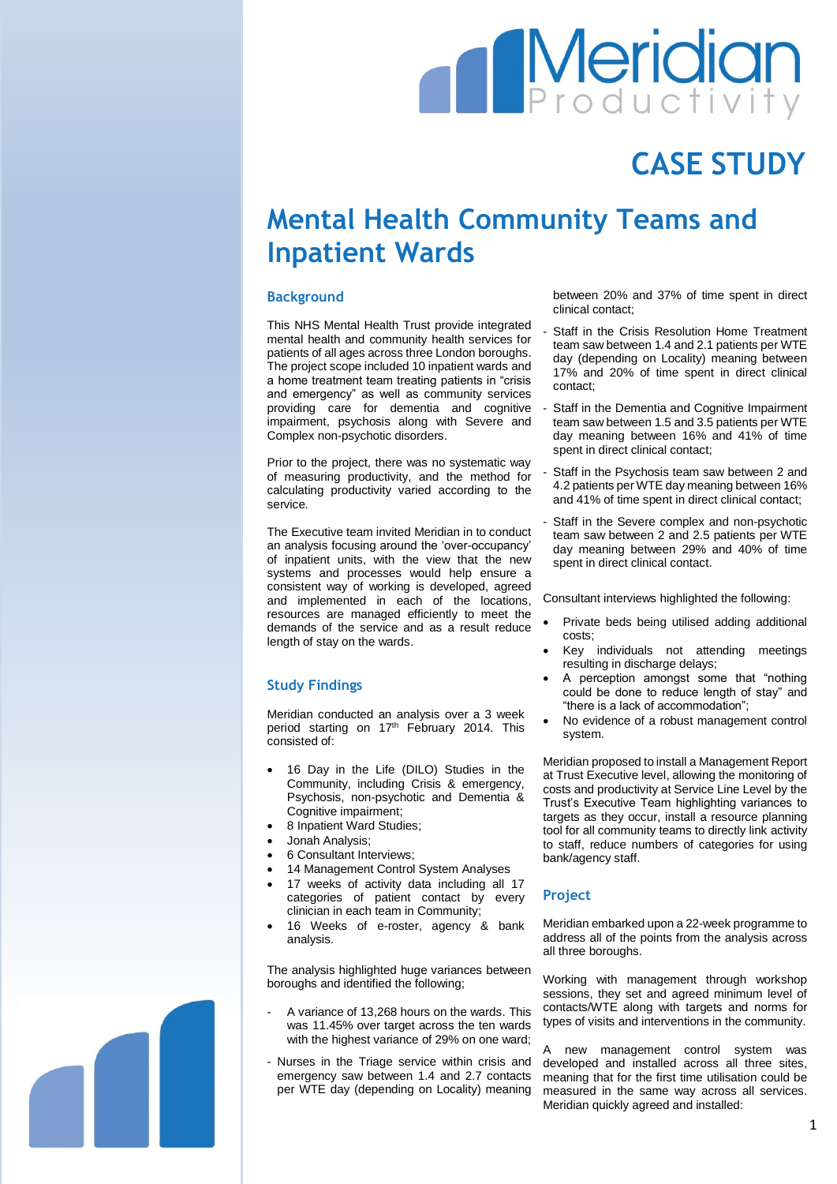# **Meridian**

## **CASE STUDY**

### **Mental Health Community Teams and Inpatient Wards**

#### **Background**

This NHS Mental Health Trust provide integrated mental health and community health services for patients of all ages across three London boroughs. The project scope included 10 inpatient wards and a home treatment team treating patients in "crisis and emergency" as well as community services providing care for dementia and cognitive impairment, psychosis along with Severe and Complex non-psychotic disorders.

Prior to the project, there was no systematic way of measuring productivity, and the method for calculating productivity varied according to the service.

The Executive team invited Meridian in to conduct an analysis focusing around the 'over-occupancy' of inpatient units, with the view that the new systems and processes would help ensure a consistent way of working is developed, agreed and implemented in each of the locations, resources are managed efficiently to meet the demands of the service and as a result reduce length of stay on the wards.

#### **Study Findings**

Meridian conducted an analysis over a 3 week period starting on 17<sup>th</sup> February 2014. This consisted of:

- 16 Day in the Life (DILO) Studies in the Community, including Crisis & emergency, Psychosis, non-psychotic and Dementia & Cognitive impairment;
- 8 Inpatient Ward Studies;
- Jonah Analysis;
- 6 Consultant Interviews;
- 14 Management Control System Analyses
- 17 weeks of activity data including all 17 categories of patient contact by every clinician in each team in Community;
- 16 Weeks of e-roster, agency & bank analysis.

The analysis highlighted huge variances between boroughs and identified the following;

- A variance of 13,268 hours on the wards. This was 11.45% over target across the ten wards with the highest variance of 29% on one ward;
- Nurses in the Triage service within crisis and emergency saw between 1.4 and 2.7 contacts per WTE day (depending on Locality) meaning

between 20% and 37% of time spent in direct clinical contact;

- Staff in the Crisis Resolution Home Treatment team saw between 1.4 and 2.1 patients per WTE day (depending on Locality) meaning between 17% and 20% of time spent in direct clinical contact;
- Staff in the Dementia and Cognitive Impairment team saw between 1.5 and 3.5 patients per WTE day meaning between 16% and 41% of time spent in direct clinical contact;
- Staff in the Psychosis team saw between 2 and 4.2 patients per WTE day meaning between 16% and 41% of time spent in direct clinical contact;
- Staff in the Severe complex and non-psychotic team saw between 2 and 2.5 patients per WTE day meaning between 29% and 40% of time spent in direct clinical contact.

Consultant interviews highlighted the following:

- Private beds being utilised adding additional costs;
- Key individuals not attending meetings resulting in discharge delays;
- A perception amongst some that "nothing could be done to reduce length of stay" and "there is a lack of accommodation";
- No evidence of a robust management control system.

Meridian proposed to install a Management Report at Trust Executive level, allowing the monitoring of costs and productivity at Service Line Level by the Trust's Executive Team highlighting variances to targets as they occur, install a resource planning tool for all community teams to directly link activity to staff, reduce numbers of categories for using bank/agency staff.

#### **Project**

Meridian embarked upon a 22-week programme to address all of the points from the analysis across all three boroughs.

Working with management through workshop sessions, they set and agreed minimum level of contacts/WTE along with targets and norms for types of visits and interventions in the community.

A new management control system was developed and installed across all three sites, meaning that for the first time utilisation could be measured in the same way across all services. Meridian quickly agreed and installed:

1